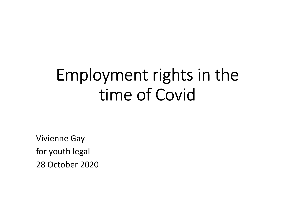## Employment rights in the<br>time of Covid<br>Vivienne Gay<br>for youth legal<br>28 October 2020 time of Covid

Vivienne Gay 28 October 2020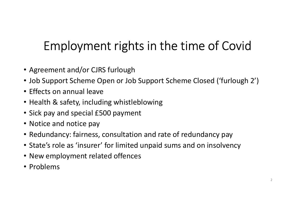## Employment rights in the time of Covid

- Agreement and/or CJRS furlough
- Job Support Scheme Open or Job Support Scheme Closed ('furlough 2')
- Effects on annual leave
- Health & safety, including whistleblowing
- Sick pay and special £500 payment
- Notice and notice pay
- Redundancy: fairness, consultation and rate of redundancy pay
- State's role as 'insurer' for limited unpaid sums and on insolvency
- New employment related offences
- Problems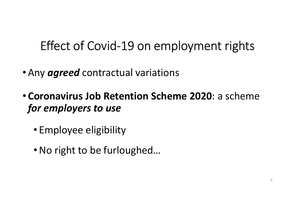## Effect of Covid-19 on employment rights<br>Let us and the variations of the variations of the variations of the variations of the variation of the variation of the variation of the variation of the variation of the variation Effect of Covid-19 on employment right<br>• Any *agreed* contractual variations<br>• Coronavirus Job Retention Scheme 2020: a schen

- 
- Coronavirus Job Retention Scheme 2020: a scheme for employers to use
	- Employee eligibility
	- •No right to be furloughed…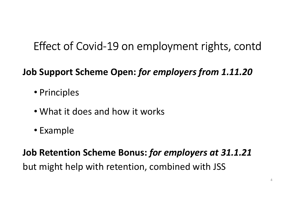# Effect of Covid-19 on employment rights, contd<br>**Support Scheme Open:** *for emplovers from 1.11.20*

#### Job Support Scheme Open: for employers from 1.11.20

- Principles
- What it does and how it works
- Example

Job Retention Scheme Bonus: for employers at 31.1.21 but might help with retention, combined with JSS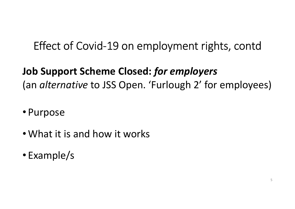## Effect of Covid-19 on employment rights, contd

### Job Support Scheme Closed: for employers

(an alternative to JSS Open. 'Furlough 2' for employees)

- Purpose
- What it is and how it works
- Example/s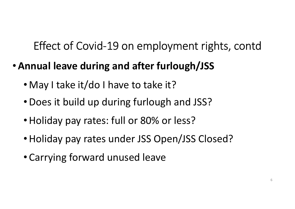## Effect of Covid-19 on employment rights, contd<br>Nail leave during and after furlough/JSS Effect of Covid-19 on employment rights, co<br> **nnual leave during and after furlough/JSS**<br>
• May I take it/do I have to take it?<br>
• Does it build up during furlough and JSS?<br>
• Holiday pay rates: full or 80% or less?<br>
• Hol

- Annual leave during and after furlough/JSS
	- May I take it/do I have to take it?
	- •Does it build up during furlough and JSS?
	-
	- •Holiday pay rates under JSS Open/JSS Closed? • May I take it/do I have to take it?<br>• Does it build up during furlough and JSS?<br>• Holiday pay rates: full or 80% or less?<br>• Holiday pay rates under JSS Open/JSS Clos<br>• Carrying forward unused leave
	-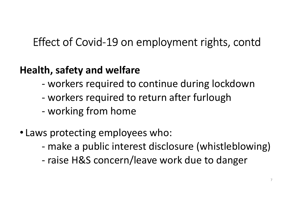## Effect of Covid-19 on employment rights, contd<br>Pith safety and welfare fect of Covid-19 on employment rights, contd<br>**th, safety and welfare**<br>- workers required to continue during lockdown<br>- workers required to return after furlough<br>- working from home fect of Covid-19 on employment rights, contd<br>t**h, safety and welfare**<br>- workers required to continue during lockdown<br>- workers required to return after furlough<br>- working from home fect of Covid-19 on employme<br>**th, safety and welfare**<br>- workers required to continue di<br>- workers required to return aftel<br>- working from home<br>rs protecting employees who:

### Health, safety and welfare

- 
- 
- 
- Laws protecting employees who:
- t**h, safety and welfare**<br>- workers required to continue during lockdown<br>- workers required to return after furlough<br>- working from home<br>s protecting employees who:<br>- make a public interest disclosure (whistleblowing)<br>- rai - workers required to continue during lockdown<br>- workers required to return after furlough<br>- working from home<br>s protecting employees who:<br>- make a public interest disclosure (whistleblowing)<br>- raise H&S concern/leave work
	-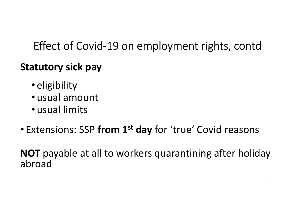## Effect of Covid-19 on employment rights, contd

### Statutory sick pay

- eligibility
- usual amount
- usual limits
- 

Effect of Covid-19 on employment rights, contd<br> **Statutory sick pay**<br>
• eligibility<br>
• usual amount<br>
• Extensions: SSP **from 1<sup>st</sup> day** for 'true' Covid reasons<br> **NOT** payable at all to workers quarantining after holiday NOT payable at all to workers quarantining after holiday abroad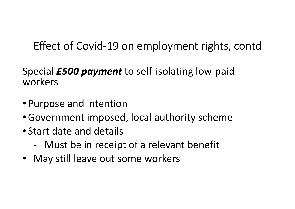# Effect of Covid-19 on employment rights, contd<br>ecial *£500 payment* to self-isolating low-paid

## Special **£500 payment** to self-isolating low-paid workers ecial *£500 payment* to self-isolating low-paid<br>prkers<br>urpose and intention<br>iovernment imposed, local authority scheme<br>tart date and details<br>- Must be in receipt of a relevant benefit<br>May still leave out some workers

- Purpose and intention
- •Government imposed, local authority scheme
- Start date and details
	-
- May still leave out some workers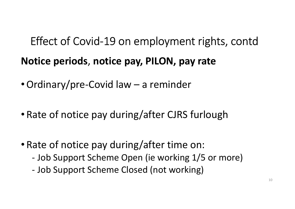## Effect of Covid-19 on employment rights, contd<br>pti<mark>ce periods, notice pay, PILON, pay rate</mark> Effect of Covid-19 on employment rights, contd<br> **Notice periods, notice pay, PILON, pay rate**<br>
• Ordinary/pre-Covid law – a reminder Effect of Covid-19 on employment rights, conto<br> **Notice periods, notice pay, PILON, pay rate**<br>
• Ordinary/pre-Covid law – a reminder<br>
• Pete of notice are shown of the GIPS furturely

- 
- Rate of notice pay during/after CJRS furlough
- Rate of notice pay during/after time on: Indinary/pre-Covid law – a reminder<br>ate of notice pay during/after CJRS furlough<br>ate of notice pay during/after time on:<br>- Job Support Scheme Open (ie working 1/5 or more)<br>- Job Support Scheme Closed (not working) rainary/pre-Covid law – a reminder<br>ate of notice pay during/after CJRS furlough<br>ate of notice pay during/after time on:<br>- Job Support Scheme Open (ie working 1/5 or mor<br>- Job Support Scheme Closed (not working)
	-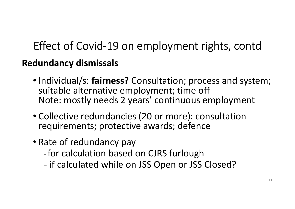Effect of Covid-19 on employment rights, contd<br>dundanc<mark>y dismissals</mark> Redundancy dismissals

- Individual/s: fairness? Consultation; process and system; suitable alternative employment; time off Note: mostly needs 2 years' continuous employment ndividual/s: **tairness?** Consultation; process and system;<br>uitable alternative employment; time off<br>lote: mostly needs 2 years' continuous employment<br>ollective redundancies (20 or more): consultation<br>equirements; protectiv
- Collective redundancies (20 or more): consultation requirements; protective awards; defence
- Rate of redundancy pay
	- for calculation based on CJRS furlough
	-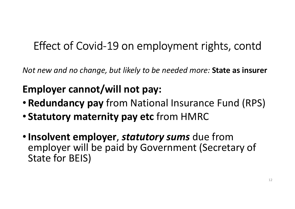# Effect of Covid-19 on employment rights, contd<br>The and the change, but likely to be needed more: State as insurer<br>Exameration of the state as insurer and the state of the likely to be needed more: State as insurer

Not new and no change, but likely to be needed more: State as insurer

### Employer cannot/will not pay:

- Redundancy pay from National Insurance Fund (RPS)
- Statutory maternity pay etc from HMRC
- Insolvent employer, statutory sums due from employer will be paid by Government (Secretary of State for BEIS)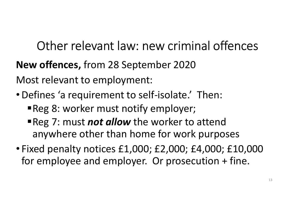## Other relevant law: new criminal offences

### New offences, from 28 September 2020

Most relevant to employment:

- •Defines 'a requirement to self-isolate.' Then:
	-
- Other relevant law: new criminal of<br> **explores:** from 28 September 2020<br>
ost relevant to employment:<br>
refines 'a requirement to self-isolate.' Then:<br> **Reg 8: worker must notify employer;**<br>
Reg 7: must *not allow* the worke Other relevant law: new criminal offence<br> **ew offences,** from 28 September 2020<br>
ost relevant to employment:<br>
Jefines 'a requirement to self-isolate.' Then:<br> **Reg 8: worker must notify employer;**<br>
Reg 7: must **not allow** t anywhere other than home for work purposes
- Fixed penalty notices £1,000; £2,000; £4,000; £10,000 for employee and employer. Or prosecution + fine.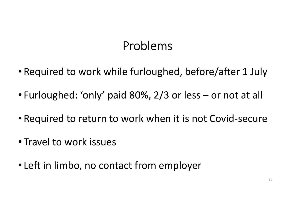## Problems

- Required to work while furloughed, before/after 1 July
- Furloughed: 'only' paid 80%, 2/3 or less or not at all<br>• Furloughed: 'only' paid 80%, 2/3 or less or not at all<br>• Required to return to work when it is not Covid-secure
- Required to return to work when it is not Covid-secure
- Travel to work issues
- Left in limbo, no contact from employer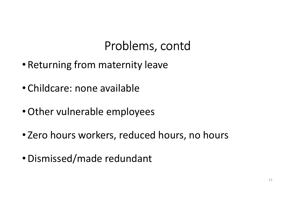## Problems, contd

- Returning from maternity leave
- Childcare: none available
- •Other vulnerable employees
- Zero hours workers, reduced hours, no hours
- •Dismissed/made redundant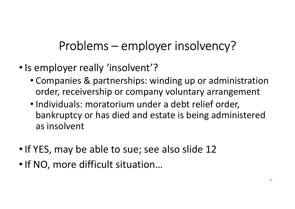# Problems – employer insolvency?<br>byer really 'insolvent'?

- Is employer really 'insolvent'?
	- Companies & partnerships: winding up or administration order, receivership or company voluntary arrangement
	- Individuals: moratorium under a debt relief order, bankruptcy or has died and estate is being administered as insolvent
- If YES, may be able to sue; see also slide 12
- •If NO, more difficult situation…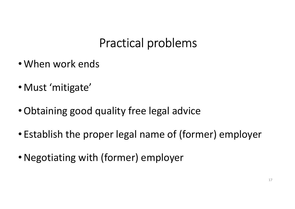## Practical problems

- When work ends
- Must 'mitigate'
- •Obtaining good quality free legal advice
- Establish the proper legal name of (former) employer
- •Negotiating with (former) employer